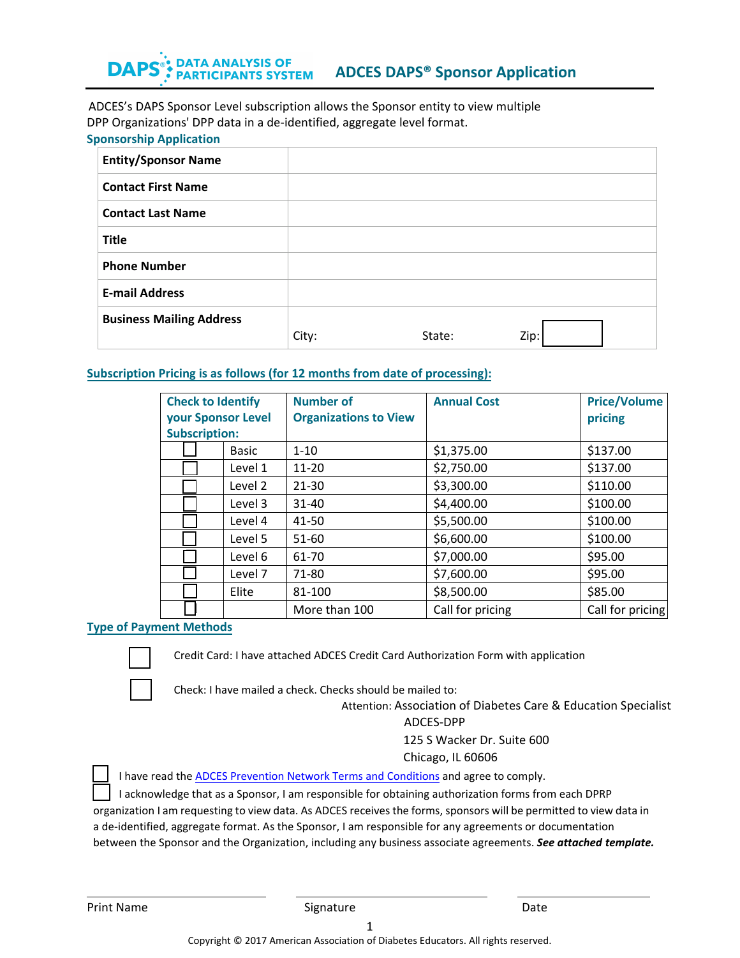#### DATA ANALYSIS OF PARTICIPANTS SYSTEM **DAP ADCES DAPS® Sponsor Application**

ADCES's DAPS Sponsor Level subscription allows the Sponsor entity to view multiple DPP Organizations' DPP data in a de-identified, aggregate level format. **Sponsorship Application** 

| <b>Entity/Sponsor Name</b>      |       |        |      |
|---------------------------------|-------|--------|------|
| <b>Contact First Name</b>       |       |        |      |
| <b>Contact Last Name</b>        |       |        |      |
| <b>Title</b>                    |       |        |      |
| <b>Phone Number</b>             |       |        |      |
| <b>E-mail Address</b>           |       |        |      |
| <b>Business Mailing Address</b> | City: | State: | Zip: |

### **Subscription Pricing is as follows (for 12 months from date of processing):**

| <b>Check to Identify</b><br>your Sponsor Level |              | <b>Number of</b><br><b>Organizations to View</b> | <b>Annual Cost</b> | <b>Price/Volume</b><br>pricing |
|------------------------------------------------|--------------|--------------------------------------------------|--------------------|--------------------------------|
| <b>Subscription:</b>                           |              |                                                  |                    |                                |
|                                                | <b>Basic</b> | $1 - 10$                                         | \$1,375.00         | \$137.00                       |
|                                                | Level 1      | $11 - 20$                                        | \$2,750.00         | \$137.00                       |
|                                                | Level 2      | $21 - 30$                                        | \$3,300.00         | \$110.00                       |
|                                                | Level 3      | $31 - 40$                                        | \$4,400.00         | \$100.00                       |
|                                                | Level 4      | 41-50                                            | \$5,500.00         | \$100.00                       |
|                                                | Level 5      | 51-60                                            | \$6,600.00         | \$100.00                       |
|                                                | Level 6      | 61-70                                            | \$7,000.00         | \$95.00                        |
|                                                | Level 7      | 71-80                                            | \$7,600.00         | \$95.00                        |
|                                                | Elite        | 81-100                                           | \$8,500.00         | \$85.00                        |
|                                                |              | More than 100                                    | Call for pricing   | Call for pricing               |

## **Type of Payment Methods**

Credit Card: I have attached ADCES Credit Card Authorization Form with application



☐

Check: I have mailed a check. Checks should be mailed to:

Attention: Association of Diabetes Care & Education Specialist

#### ADCES-DPP

125 S Wacker Dr. Suite 600

Chicago, IL 60606

☐ I have read the ADCES [Prevention Network Terms and Conditions](https://www.diabeteseducator.org/prevention-network/terms-conditions) and agree to comply.

☐ I acknowledge that as a Sponsor, I am responsible for obtaining authorization forms from each DPRP organization I am requesting to view data. As ADCES receives the forms, sponsors will be permitted to view data in a de-identified, aggregate format. As the Sponsor, I am responsible for any agreements or documentation

between the Sponsor and the Organization, including any business associate agreements. *See attached template.*

Print Name **Signature Date Contained Base** Contains **Date Contained Base** Contains **Contains Contains Contains and Date**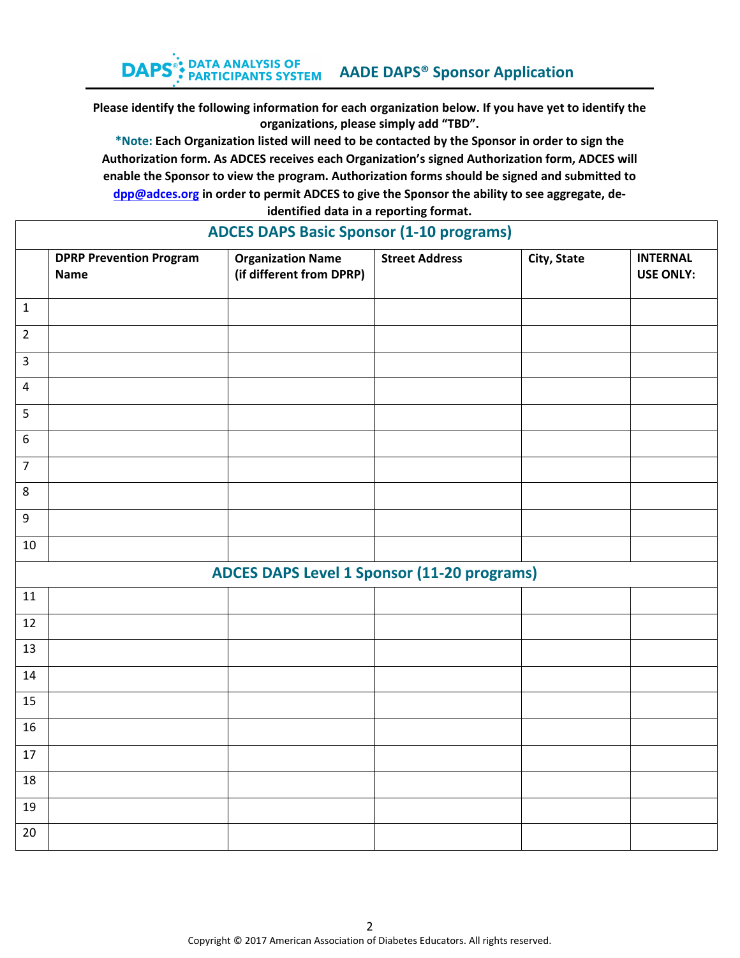**\*Note: Each Organization listed will need to be contacted by the Sponsor in order to sign the Authorization form. As ADCES receives each Organization's signed Authorization form, ADCES will enable the Sponsor to view the program. Authorization forms should be signed and submitted to [dpp@a](mailto:dpp@aadenet.org)dces.org in order to permit ADCES to give the Sponsor the ability to see aggregate, deidentified data in a reporting format.** 

|                         | <b>DPRP Prevention Program</b><br><b>Name</b> | <b>Organization Name</b><br>(if different from DPRP) | <b>Street Address</b> | City, State | <b>INTERNAL</b><br><b>USE ONLY:</b> |
|-------------------------|-----------------------------------------------|------------------------------------------------------|-----------------------|-------------|-------------------------------------|
| $\mathbf{1}$            |                                               |                                                      |                       |             |                                     |
| $\overline{2}$          |                                               |                                                      |                       |             |                                     |
| $\overline{3}$          |                                               |                                                      |                       |             |                                     |
| $\overline{\mathbf{4}}$ |                                               |                                                      |                       |             |                                     |
| 5                       |                                               |                                                      |                       |             |                                     |
| $\boldsymbol{6}$        |                                               |                                                      |                       |             |                                     |
| $\overline{7}$          |                                               |                                                      |                       |             |                                     |
| 8                       |                                               |                                                      |                       |             |                                     |
| 9                       |                                               |                                                      |                       |             |                                     |
| 10                      |                                               |                                                      |                       |             |                                     |
|                         |                                               | <b>ADCES DAPS Level 1 Sponsor (11-20 programs)</b>   |                       |             |                                     |
| $11\,$                  |                                               |                                                      |                       |             |                                     |
| 12                      |                                               |                                                      |                       |             |                                     |
| 13                      |                                               |                                                      |                       |             |                                     |
| 14                      |                                               |                                                      |                       |             |                                     |
| 15                      |                                               |                                                      |                       |             |                                     |
| 16                      |                                               |                                                      |                       |             |                                     |
| 17                      |                                               |                                                      |                       |             |                                     |
| 18                      |                                               |                                                      |                       |             |                                     |
| 19                      |                                               |                                                      |                       |             |                                     |
| 20                      |                                               |                                                      |                       |             |                                     |

# **ADCES DAPS Basic Sponsor (1-10 programs)**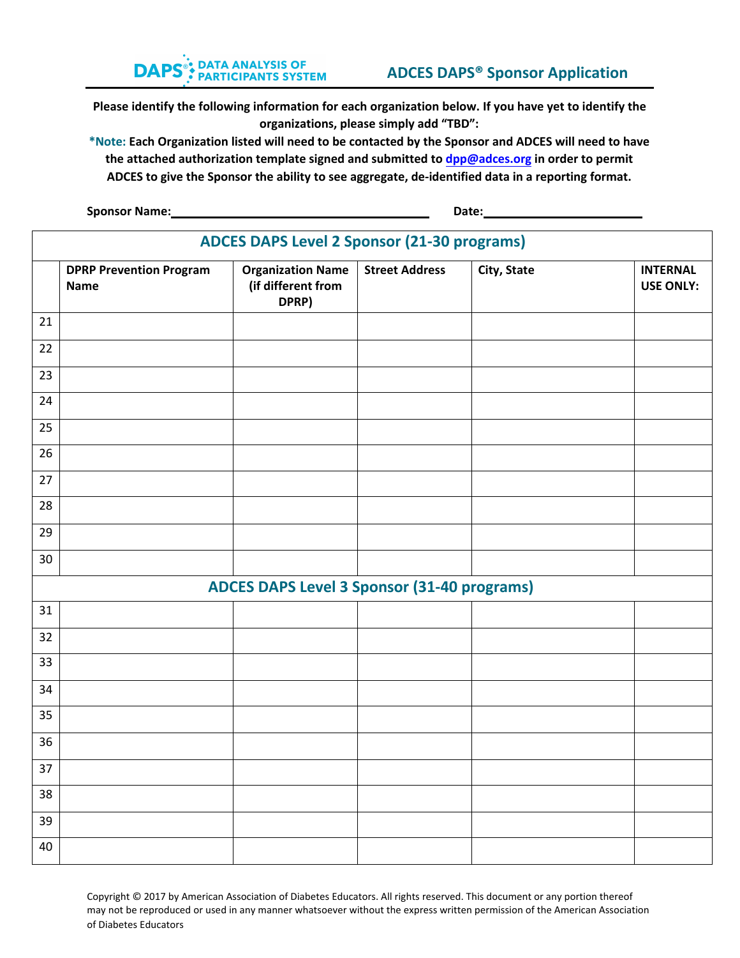

**\*Note: Each Organization listed will need to be contacted by the Sponsor and ADCES will need to have the attached authorization template signed and submitted to dpp@a[dces.org](mailto:dpp@aadenet.org) in order to permit ADCES to give the Sponsor the ability to see aggregate, de-identified data in a reporting format.** 

**Sponsor Name: Date: Date: Date: Date: Date: Date: Date: Date: Date: Date: Date: Date: Date: Date: Date: Date: Date: Date: Date: Date: Date: Date: Date: Date: Date: Date:** 

|    | ADCES DAPS Level 2 Sponsor (21-30 programs) |                                                         |                       |             |                                     |  |
|----|---------------------------------------------|---------------------------------------------------------|-----------------------|-------------|-------------------------------------|--|
|    | <b>DPRP Prevention Program</b><br>Name      | <b>Organization Name</b><br>(if different from<br>DPRP) | <b>Street Address</b> | City, State | <b>INTERNAL</b><br><b>USE ONLY:</b> |  |
| 21 |                                             |                                                         |                       |             |                                     |  |
| 22 |                                             |                                                         |                       |             |                                     |  |
| 23 |                                             |                                                         |                       |             |                                     |  |
| 24 |                                             |                                                         |                       |             |                                     |  |
| 25 |                                             |                                                         |                       |             |                                     |  |
| 26 |                                             |                                                         |                       |             |                                     |  |
| 27 |                                             |                                                         |                       |             |                                     |  |
| 28 |                                             |                                                         |                       |             |                                     |  |
| 29 |                                             |                                                         |                       |             |                                     |  |
| 30 |                                             |                                                         |                       |             |                                     |  |
|    |                                             | <b>ADCES DAPS Level 3 Sponsor (31-40 programs)</b>      |                       |             |                                     |  |
| 31 |                                             |                                                         |                       |             |                                     |  |
| 32 |                                             |                                                         |                       |             |                                     |  |
| 33 |                                             |                                                         |                       |             |                                     |  |
| 34 |                                             |                                                         |                       |             |                                     |  |
| 35 |                                             |                                                         |                       |             |                                     |  |
| 36 |                                             |                                                         |                       |             |                                     |  |
| 37 |                                             |                                                         |                       |             |                                     |  |
| 38 |                                             |                                                         |                       |             |                                     |  |
| 39 |                                             |                                                         |                       |             |                                     |  |
| 40 |                                             |                                                         |                       |             |                                     |  |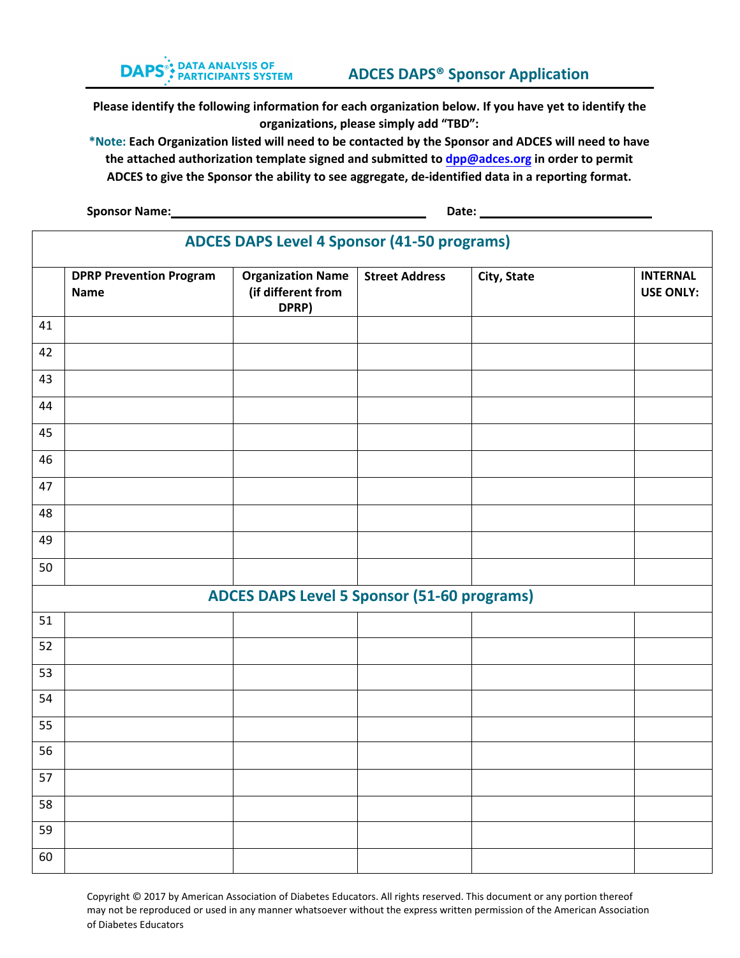

**\*Note: Each Organization listed will need to be contacted by the Sponsor and ADCES will need to have the attached authorization template signed and submitted to dpp@a[dces.org](mailto:dpp@aadenet.org) in order to permit ADCES to give the Sponsor the ability to see aggregate, de-identified data in a reporting format.** 

**Sponsor Name:** 2008. 2012. 2022. 2022. 2022. 2022. 2022. 2022. 2022. 2022. 2022. 2022. 2022. 2022. 2022. 2022. 2022. 2022. 2022. 2022. 2022. 2022. 2022. 2022. 2022. 2022. 2022. 2022. 2022. 2022. 2022. 2022. 2022. 2022. 20

|    | <b>ADCES DAPS Level 4 Sponsor (41-50 programs)</b> |                                                         |                       |             |                                     |  |
|----|----------------------------------------------------|---------------------------------------------------------|-----------------------|-------------|-------------------------------------|--|
|    | <b>DPRP Prevention Program</b><br><b>Name</b>      | <b>Organization Name</b><br>(if different from<br>DPRP) | <b>Street Address</b> | City, State | <b>INTERNAL</b><br><b>USE ONLY:</b> |  |
| 41 |                                                    |                                                         |                       |             |                                     |  |
| 42 |                                                    |                                                         |                       |             |                                     |  |
| 43 |                                                    |                                                         |                       |             |                                     |  |
| 44 |                                                    |                                                         |                       |             |                                     |  |
| 45 |                                                    |                                                         |                       |             |                                     |  |
| 46 |                                                    |                                                         |                       |             |                                     |  |
| 47 |                                                    |                                                         |                       |             |                                     |  |
| 48 |                                                    |                                                         |                       |             |                                     |  |
| 49 |                                                    |                                                         |                       |             |                                     |  |
| 50 |                                                    |                                                         |                       |             |                                     |  |
|    |                                                    | <b>ADCES DAPS Level 5 Sponsor (51-60 programs)</b>      |                       |             |                                     |  |
| 51 |                                                    |                                                         |                       |             |                                     |  |
| 52 |                                                    |                                                         |                       |             |                                     |  |
| 53 |                                                    |                                                         |                       |             |                                     |  |
| 54 |                                                    |                                                         |                       |             |                                     |  |
| 55 |                                                    |                                                         |                       |             |                                     |  |
| 56 |                                                    |                                                         |                       |             |                                     |  |
| 57 |                                                    |                                                         |                       |             |                                     |  |
| 58 |                                                    |                                                         |                       |             |                                     |  |
| 59 |                                                    |                                                         |                       |             |                                     |  |
| 60 |                                                    |                                                         |                       |             |                                     |  |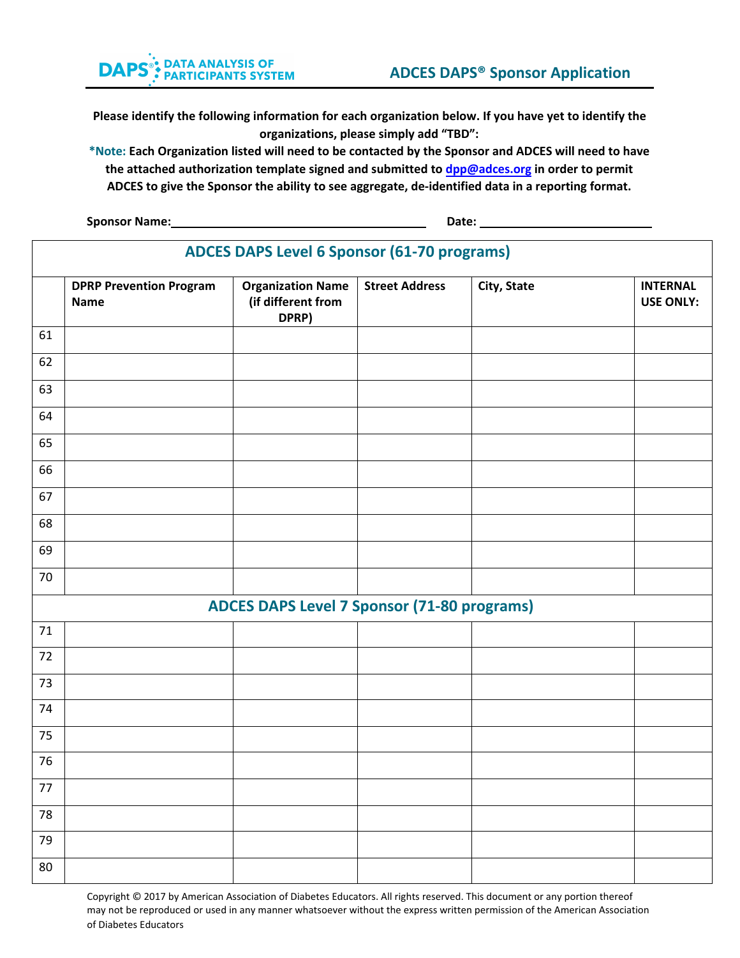**\*Note: Each Organization listed will need to be contacted by the Sponsor and ADCES will need to have the attached authorization template signed and submitted to [dpp@a](mailto:dpp@aadenet.org)dces.org in order to permit ADCES to give the Sponsor the ability to see aggregate, de-identified data in a reporting format.** 

**Sponsor Name: Date: Date: Date: Date: Date: Date: Date: Date: Date: Date: Date: Date: Date: Date: Date: Date: Date: Date: Date: Date: Date: Date: Date: Date: Date: Date:** 

|    | <b>ADCES DAPS Level 6 Sponsor (61-70 programs)</b> |                                                         |                       |             |                                     |  |
|----|----------------------------------------------------|---------------------------------------------------------|-----------------------|-------------|-------------------------------------|--|
|    | <b>DPRP Prevention Program</b><br><b>Name</b>      | <b>Organization Name</b><br>(if different from<br>DPRP) | <b>Street Address</b> | City, State | <b>INTERNAL</b><br><b>USE ONLY:</b> |  |
| 61 |                                                    |                                                         |                       |             |                                     |  |
| 62 |                                                    |                                                         |                       |             |                                     |  |
| 63 |                                                    |                                                         |                       |             |                                     |  |
| 64 |                                                    |                                                         |                       |             |                                     |  |
| 65 |                                                    |                                                         |                       |             |                                     |  |
| 66 |                                                    |                                                         |                       |             |                                     |  |
| 67 |                                                    |                                                         |                       |             |                                     |  |
| 68 |                                                    |                                                         |                       |             |                                     |  |
| 69 |                                                    |                                                         |                       |             |                                     |  |
| 70 |                                                    |                                                         |                       |             |                                     |  |
|    |                                                    | <b>ADCES DAPS Level 7 Sponsor (71-80 programs)</b>      |                       |             |                                     |  |
| 71 |                                                    |                                                         |                       |             |                                     |  |
| 72 |                                                    |                                                         |                       |             |                                     |  |
| 73 |                                                    |                                                         |                       |             |                                     |  |
| 74 |                                                    |                                                         |                       |             |                                     |  |
| 75 |                                                    |                                                         |                       |             |                                     |  |
| 76 |                                                    |                                                         |                       |             |                                     |  |
| 77 |                                                    |                                                         |                       |             |                                     |  |
| 78 |                                                    |                                                         |                       |             |                                     |  |
| 79 |                                                    |                                                         |                       |             |                                     |  |
| 80 |                                                    |                                                         |                       |             |                                     |  |